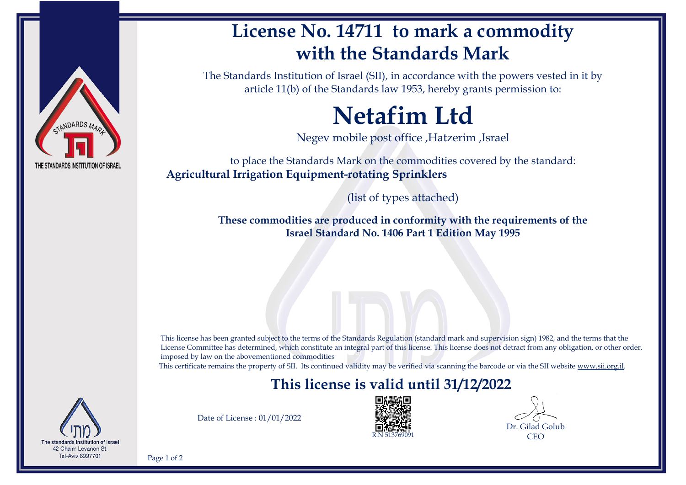

## **License No. 14711 to mark a commodity with the Standards Mark**

The Standards Institution of Israel (SII), in accordance with the powers vested in it by article 11(b) of the Standards law 1953, hereby grants permission to:

# **Netafim Ltd**

Negev mobile post office ,Hatzerim ,Israel

to place the Standards Mark on the commodities covered by the standard: **Agricultural Irrigation Equipment-rotating Sprinklers**

(list of types attached)

**These commodities are produced in conformity with the requirements of the Israel Standard No. 1406 Part 1 Edition May 1995**

This license has been granted subject to the terms of the Standards Regulation (standard mark and supervision sign) 1982, and the terms that the License Committee has determined, which constitute an integral part of this license. This license does not detract from any obligation, or other order, imposed by law on the abovementioned commodities

This certificate remains the property of SII. Its continued validity may be verified via scanning the barcode or via the SII website [www.sii.org.il.](http://www.sii.org.il)

### **This license is valid until 31/12/2022**



Date of License : 01/01/2022



Dr. Gilad Golub CEO

Page 1 of 2